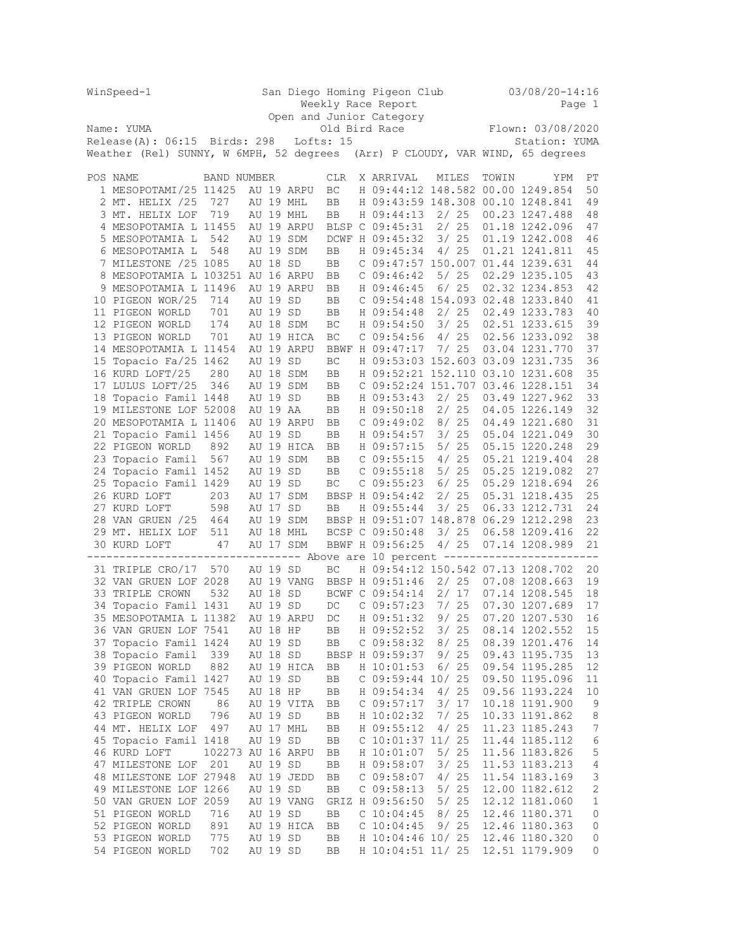|    | WinSpeed-1                                                                    |                   | San Diego Homing Pigeon Club |          |                          |               |  |                     |                   |        | $03/08/20 - 14:16$ |               |                                        |              |  |
|----|-------------------------------------------------------------------------------|-------------------|------------------------------|----------|--------------------------|---------------|--|---------------------|-------------------|--------|--------------------|---------------|----------------------------------------|--------------|--|
|    |                                                                               |                   |                              |          |                          |               |  | Weekly Race Report  |                   |        |                    |               |                                        | Page 1       |  |
|    |                                                                               |                   |                              |          | Open and Junior Category |               |  |                     |                   |        |                    |               |                                        |              |  |
|    | Name: YUMA                                                                    |                   |                              |          |                          | Old Bird Race |  |                     | Flown: 03/08/2020 |        |                    |               |                                        |              |  |
|    | $Release(A): 06:15$ Birds: 298                                                |                   | Lofts: 15                    |          |                          |               |  |                     |                   |        |                    | Station: YUMA |                                        |              |  |
|    | Weather (Rel) SUNNY, W 6MPH, 52 degrees (Arr) P CLOUDY, VAR WIND, 65 degrees  |                   |                              |          |                          |               |  |                     |                   |        |                    |               |                                        |              |  |
|    |                                                                               |                   |                              |          |                          |               |  |                     |                   |        |                    |               |                                        |              |  |
|    | POS NAME                                                                      | BAND NUMBER       |                              |          |                          | CLR.          |  | X ARRIVAL           |                   | MILES  |                    | TOWIN         | YPM                                    | РT           |  |
|    | 1 MESOPOTAMI/25 11425                                                         |                   |                              |          | AU 19 ARPU               | ВC            |  |                     |                   |        |                    |               | H 09:44:12 148.582 00.00 1249.854      | 50           |  |
|    | 2 MT. HELIX /25                                                               | 727               |                              |          | AU 19 MHL                | BB            |  |                     |                   |        |                    |               | H 09:43:59 148.308 00.10 1248.841      | 49           |  |
|    | 3 MT. HELIX LOF                                                               | 719               |                              |          | AU 19 MHL                | BB            |  | H 09:44:13          |                   |        | 2/25               |               | 00.23 1247.488                         | 48           |  |
|    | 4 MESOPOTAMIA L 11455                                                         |                   |                              |          | AU 19 ARPU               |               |  | BLSP C 09:45:31     |                   |        | 2/25               |               | 01.18 1242.096                         | 47           |  |
|    | 5 MESOPOTAMIA L                                                               | 542               |                              |          | AU 19 SDM                |               |  | DCWF H 09:45:32     |                   |        | 3/25               |               | 01.19 1242.008                         | 46           |  |
|    | 6 MESOPOTAMIA L                                                               | 548               |                              |          | AU 19 SDM                | BB            |  | H 09:45:34          |                   |        | 4/25               |               | 01.21 1241.811                         | 45           |  |
|    | 7 MILESTONE /25 1085                                                          |                   |                              | AU 18 SD |                          | BB            |  |                     |                   |        |                    |               | C 09:47:57 150.007 01.44 1239.631      | 44           |  |
|    | 8 MESOPOTAMIA L 103251 AU 16 ARPU                                             |                   |                              |          |                          | BB            |  | $C$ 09:46:42        |                   |        | 5/ 25              |               | 02.29 1235.105                         | 43           |  |
|    | 9 MESOPOTAMIA L 11496                                                         |                   |                              |          | AU 19 ARPU               | BB            |  | H 09:46:45          |                   |        | 6/ 25              |               | 02.32 1234.853                         | 42           |  |
|    | 10 PIGEON WOR/25                                                              | 714               |                              | AU 19 SD |                          | BB            |  |                     |                   |        |                    |               | C 09:54:48 154.093 02.48 1233.840      | 41           |  |
|    | 11 PIGEON WORLD                                                               | 701               |                              | AU 19 SD |                          | BB            |  | H 09:54:48          |                   |        | 2/25               |               | 02.49 1233.783                         | 40           |  |
|    | 12 PIGEON WORLD                                                               | 174               |                              |          | AU 18 SDM                | ВC            |  | H 09:54:50          |                   |        | 3/25               |               | 02.51 1233.615                         | 39           |  |
|    | 13 PIGEON WORLD                                                               | 701               |                              |          | AU 19 HICA               | BC            |  | $C$ 09:54:56        |                   |        | 4/ 25              |               | 02.56 1233.092                         | 38           |  |
|    | 14 MESOPOTAMIA L 11454                                                        |                   |                              |          | AU 19 ARPU               |               |  | BBWF H 09:47:17     |                   |        | 7/25               |               | 03.04 1231.770                         | 37           |  |
|    | 15 Topacio Fa/25 1462                                                         |                   |                              | AU 19 SD |                          | BC            |  |                     |                   |        |                    |               | H 09:53:03 152.603 03.09 1231.735      | 36           |  |
|    | 16 KURD LOFT/25                                                               | 280               |                              |          | AU 18 SDM                | BB            |  |                     |                   |        |                    |               | H 09:52:21 152.110 03.10 1231.608      | 35           |  |
|    | 17 LULUS LOFT/25                                                              | 346               |                              |          | AU 19 SDM                | BB            |  |                     |                   |        |                    |               | C 09:52:24 151.707 03.46 1228.151      | 34           |  |
|    | 18 Topacio Famil 1448                                                         |                   |                              | AU 19 SD |                          | BB            |  | H 09:53:43          |                   |        | 2/25               |               | 03.49 1227.962                         | 33           |  |
|    | 19 MILESTONE LOF 52008                                                        |                   |                              | AU 19 AA |                          | BB            |  | H 09:50:18          |                   |        | 2/25               |               | 04.05 1226.149                         | 32           |  |
|    | 20 MESOPOTAMIA L 11406                                                        |                   |                              |          | AU 19 ARPU               | BB            |  | C 09:49:02          |                   | 8/25   |                    |               | 04.49 1221.680                         | 31           |  |
|    | 21 Topacio Famil 1456                                                         |                   |                              | AU 19 SD |                          | BB            |  | H 09:54:57          |                   | 3/25   |                    |               | 05.04 1221.049                         | 30           |  |
|    | 22 PIGEON WORLD                                                               | 892               |                              |          | AU 19 HICA               | BB            |  | H 09:57:15          |                   |        | 5/25               |               | 05.15 1220.248                         | 29           |  |
|    | 23 Topacio Famil                                                              | 567               |                              |          | AU 19 SDM                | BB            |  | $C$ 09:55:15        |                   | 4/25   |                    |               | 05.21 1219.404                         | 28           |  |
|    | 24 Topacio Famil 1452                                                         |                   |                              | AU 19 SD |                          | BB            |  | C 09:55:18          |                   |        | 5/25               |               | 05.25 1219.082                         | 27           |  |
|    | 25 Topacio Famil 1429                                                         |                   |                              | AU 19 SD |                          | BC            |  | $C$ 09:55:23        |                   | 6/25   |                    |               | 05.29 1218.694                         | 26           |  |
|    | 26 KURD LOFT                                                                  | 203               |                              |          | AU 17 SDM                |               |  | BBSP H 09:54:42     |                   | 2/25   |                    |               | 05.31 1218.435                         | 25           |  |
|    | 27 KURD LOFT                                                                  | 598               |                              | AU 17 SD |                          | BB            |  | H 09:55:44          |                   |        | 3/25               |               | 06.33 1212.731                         | 24           |  |
|    | 28 VAN GRUEN /25                                                              | 464               |                              |          | AU 19 SDM                |               |  |                     |                   |        |                    |               | BBSP H 09:51:07 148.878 06.29 1212.298 | 23           |  |
|    | 29 MT. HELIX LOF                                                              | 511               |                              |          | AU 18 MHL                |               |  | BCSP C 09:50:48     |                   |        | 3/25               |               | 06.58 1209.416                         | 22           |  |
|    | 30 KURD LOFT                                                                  | 47                |                              |          | AU 17 SDM                |               |  | BBWF H 09:56:25     |                   |        | 4/25               |               | 07.14 1208.989                         | 21           |  |
|    | ------------------------------- Above are 10 percent ------------------------ |                   |                              |          |                          |               |  |                     |                   |        |                    |               |                                        |              |  |
|    | 31 TRIPLE CRO/17                                                              | 570               |                              | AU 19 SD |                          | ВC            |  |                     |                   |        |                    |               | H 09:54:12 150.542 07.13 1208.702      | 20           |  |
|    | 32 VAN GRUEN LOF 2028                                                         |                   |                              |          | AU 19 VANG               |               |  | BBSP H 09:51:46     |                   |        | 2/25               |               | 07.08 1208.663                         | 19           |  |
|    | 33 TRIPLE CROWN                                                               | 532               |                              | AU 18 SD |                          |               |  | BCWF C 09:54:14     |                   |        | 2/17               |               | 07.14 1208.545                         | 18           |  |
| 34 | Topacio Famil 1431                                                            |                   |                              | AU 19 SD |                          | DC            |  | $C$ 09:57:23        |                   |        | 7/25               |               | 07.30 1207.689                         | 17           |  |
|    | 35 MESOPOTAMIA L 11382                                                        |                   |                              |          | AU 19 ARPU               | DC            |  | H 09:51:32          |                   | 9/25   |                    |               | 07.20 1207.530                         | 16           |  |
|    | 36 VAN GRUEN LOF 7541                                                         |                   |                              | AU 18 HP |                          | BB            |  | H 09:52:52          |                   | 3/25   |                    |               | 08.14 1202.552                         | 15           |  |
|    | 37 Topacio Famil 1424                                                         |                   |                              | AU 19 SD |                          | BB            |  | $C$ 09:58:32        |                   | 8 / 25 |                    |               | 08.39 1201.476                         | 14           |  |
|    | 38 Topacio Famil                                                              | 339               |                              | AU 18 SD |                          |               |  | BBSP H 09:59:37     |                   |        | 9/25               |               | 09.43 1195.735                         | 13           |  |
|    | 39 PIGEON WORLD                                                               | 882               |                              |          | AU 19 HICA               | BB            |  | H 10:01:53          |                   |        | 6/25               |               | 09.54 1195.285                         | 12           |  |
|    | 40 Topacio Famil 1427                                                         |                   |                              | AU 19 SD |                          | BB            |  | C 09:59:44 10/ 25   |                   |        |                    |               | 09.50 1195.096                         | 11           |  |
|    | 41 VAN GRUEN LOF 7545                                                         |                   |                              | AU 18 HP |                          | BB            |  | H 09:54:34          |                   |        | 4/25               |               | 09.56 1193.224                         | 10           |  |
|    | 42 TRIPLE CROWN                                                               | 86                |                              |          | AU 19 VITA               | BB            |  | $C$ 09:57:17        |                   |        | 3/ 17              |               | 10.18 1191.900                         | 9            |  |
|    | 43 PIGEON WORLD                                                               | 796               |                              | AU 19 SD |                          | BB            |  | H 10:02:32          |                   | 7/25   |                    |               | 10.33 1191.862                         | 8            |  |
|    | 44 MT. HELIX LOF                                                              | 497               |                              |          | AU 17 MHL                | BB            |  | H 09:55:12          |                   |        | 4/25               |               | 11.23 1185.243                         | 7            |  |
|    | 45 Topacio Famil 1418                                                         |                   |                              | AU 19 SD |                          | BB            |  | $C$ 10:01:37 11/ 25 |                   |        |                    |               | 11.44 1185.112                         | 6            |  |
|    | 46 KURD LOFT                                                                  | 102273 AU 16 ARPU |                              |          |                          | BB            |  | H 10:01:07          |                   | 5/25   |                    |               | 11.56 1183.826                         | 5            |  |
|    | 47 MILESTONE LOF                                                              | 201               |                              | AU 19 SD |                          | BB            |  | H 09:58:07          |                   |        | 3/25               |               | 11.53 1183.213                         | 4            |  |
|    | 48 MILESTONE LOF 27948                                                        |                   |                              |          | AU 19 JEDD               | BB            |  | $C$ 09:58:07        |                   |        | 4/25               |               | 11.54 1183.169                         | 3            |  |
|    | 49 MILESTONE LOF 1266                                                         |                   |                              | AU 19 SD |                          | BB            |  | C 09:58:13          |                   |        | 5/25               |               | 12.00 1182.612                         | $\mathbf{2}$ |  |
|    | 50 VAN GRUEN LOF 2059                                                         |                   |                              |          | AU 19 VANG               |               |  | GRIZ H 09:56:50     |                   |        | 5/25               |               | 12.12 1181.060                         | $1\,$        |  |
|    | 51 PIGEON WORLD                                                               | 716               |                              | AU 19 SD |                          | BB            |  | $C$ 10:04:45        |                   |        | 8 / 25             |               | 12.46 1180.371                         | 0            |  |
|    | 52 PIGEON WORLD                                                               | 891               |                              |          | AU 19 HICA               | BB            |  | $C$ 10:04:45        |                   |        | 9/25               |               | 12.46 1180.363                         | 0            |  |
|    | 53 PIGEON WORLD                                                               | 775               |                              | AU 19 SD |                          | BB            |  | H 10:04:46 10/ 25   |                   |        |                    |               | 12.46 1180.320                         | 0            |  |
|    | 54 PIGEON WORLD                                                               | 702               |                              | AU 19 SD |                          | BB            |  | H 10:04:51 11/ 25   |                   |        |                    |               | 12.51 1179.909                         | 0            |  |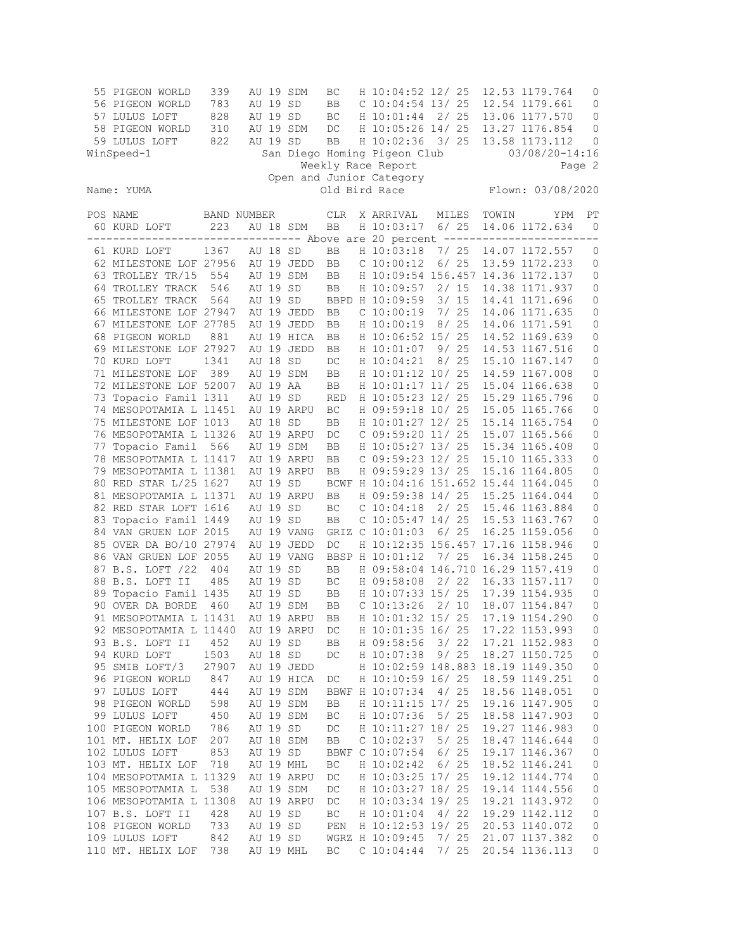| 55 PIGEON WORLD<br>56 PIGEON WORLD<br>57 LULUS LOFT<br>58 PIGEON WORLD<br>59 LULUS LOFT<br>WinSpeed-1 | 339<br>783<br>828<br>310<br>822 |          | AU 19 SD<br>AU 19 SD<br>AU 19 SD | AU 19 SDM<br>AU 19 SDM | BC<br>BB<br>BC<br>DC<br><b>BB</b> | H 10:04:52 12/ 25<br>$C$ 10:04:54 13/25<br>H 10:01:44<br>H 10:05:26 14/ 25<br>H 10:02:36<br>San Diego Homing Pigeon Club<br>Weekly Race Report | 3/25  | 2/25            |       | 12.53 1179.764<br>12.54 1179.661<br>13.06 1177.570<br>13.27 1176.854<br>13.58 1173.112<br>$03/08/20 - 14:16$ | 0<br>0<br>0<br>0<br>0<br>Page 2 |
|-------------------------------------------------------------------------------------------------------|---------------------------------|----------|----------------------------------|------------------------|-----------------------------------|------------------------------------------------------------------------------------------------------------------------------------------------|-------|-----------------|-------|--------------------------------------------------------------------------------------------------------------|---------------------------------|
| Name: YUMA                                                                                            | Flown: 03/08/2020               |          |                                  |                        |                                   |                                                                                                                                                |       |                 |       |                                                                                                              |                                 |
| POS NAME<br>60 KURD LOFT                                                                              | BAND NUMBER<br>223              |          |                                  | AU 18 SDM              | <b>CLR</b><br>BB                  | X ARRIVAL<br>H 10:03:17                                                                                                                        |       | MILES<br>$6/25$ | TOWIN | YPM<br>14.06 1172.634                                                                                        | РT<br>$\mathbf{0}$              |
|                                                                                                       |                                 |          |                                  |                        |                                   |                                                                                                                                                |       |                 |       | -------------------- Above are 20 percent ---------------------                                              |                                 |
| 61 KURD LOFT                                                                                          | 1367                            | AU 18    |                                  | SD                     | BB                                | H 10:03:18                                                                                                                                     |       | 7/25            |       | 14.07 1172.557                                                                                               | 0                               |
| 62 MILESTONE LOF 27956                                                                                |                                 |          |                                  | AU 19 JEDD             | BB                                | C 10:00:12                                                                                                                                     |       | $6/25$          |       | 13.59 1172.233                                                                                               | 0                               |
| 63 TROLLEY TR/15                                                                                      | 554                             |          |                                  | AU 19 SDM              | BB                                | H 10:09:54 156.457 14.36 1172.137                                                                                                              |       |                 |       |                                                                                                              | 0                               |
| 64 TROLLEY TRACK                                                                                      | 546                             |          | AU 19 SD                         |                        | BB                                | H 10:09:57                                                                                                                                     |       | 2/15            |       | 14.38 1171.937                                                                                               | 0                               |
| 65 TROLLEY TRACK                                                                                      | 564                             |          | AU 19 SD                         |                        |                                   | BBPD H 10:09:59                                                                                                                                |       | 3/15            |       | 14.41 1171.696                                                                                               | 0                               |
| 66 MILESTONE LOF 27947                                                                                |                                 |          |                                  | AU 19 JEDD             | BB                                | C 10:00:19                                                                                                                                     |       | 7/25            |       | 14.06 1171.635                                                                                               | 0                               |
| 67 MILESTONE LOF 27785                                                                                |                                 |          |                                  | AU 19 JEDD             | BB                                | H 10:00:19                                                                                                                                     |       | 8/25            |       | 14.06 1171.591                                                                                               | 0                               |
| 68 PIGEON WORLD                                                                                       | 881                             |          |                                  | AU 19 HICA             | BB                                | H 10:06:52 15/ 25                                                                                                                              |       |                 |       | 14.52 1169.639                                                                                               | 0                               |
| 69 MILESTONE LOF 27927                                                                                |                                 |          |                                  | AU 19 JEDD             | BB                                | H 10:01:07                                                                                                                                     |       | 9/25            |       | 14.53 1167.516                                                                                               | 0                               |
| 70 KURD LOFT                                                                                          | 1341                            |          | AU 18 SD                         |                        | DC                                | H 10:04:21                                                                                                                                     |       | 8/25            |       | 15.10 1167.147                                                                                               | 0                               |
| 71 MILESTONE LOF                                                                                      | 389                             |          |                                  | AU 19 SDM              | BB                                | H 10:01:12 10/ 25                                                                                                                              |       |                 |       | 14.59 1167.008                                                                                               | $\mathbb O$                     |
| 72 MILESTONE LOF 52007                                                                                |                                 |          | AU 19 AA                         |                        | BB                                | H 10:01:17 11/ 25                                                                                                                              |       |                 |       | 15.04 1166.638                                                                                               | 0                               |
| 73 Topacio Famil 1311                                                                                 |                                 |          | AU 19 SD                         |                        | <b>RED</b>                        | H 10:05:23 12/ 25                                                                                                                              |       |                 |       | 15.29 1165.796                                                                                               | 0                               |
| 74 MESOPOTAMIA L 11451                                                                                |                                 |          |                                  | AU 19 ARPU             | BC                                | H 09:59:18 10/ 25                                                                                                                              |       |                 |       | 15.05 1165.766                                                                                               | 0                               |
| 75 MILESTONE LOF 1013                                                                                 |                                 |          | AU 18 SD                         |                        | BB                                | H 10:01:27 12/ 25                                                                                                                              |       |                 |       | 15.14 1165.754                                                                                               | 0                               |
| 76 MESOPOTAMIA L 11326                                                                                |                                 |          |                                  | AU 19 ARPU             | DC                                | C 09:59:20 11/ 25                                                                                                                              |       |                 |       | 15.07 1165.566                                                                                               | 0                               |
| 77 Topacio Famil 566                                                                                  |                                 |          |                                  | AU 19 SDM              | BB                                | H 10:05:27 13/ 25                                                                                                                              |       |                 |       | 15.34 1165.408                                                                                               | 0                               |
| 78 MESOPOTAMIA L 11417                                                                                |                                 |          |                                  | AU 19 ARPU             | BB                                | C 09:59:23 12/ 25                                                                                                                              |       |                 |       | 15.10 1165.333                                                                                               | 0                               |
| 79 MESOPOTAMIA L 11381                                                                                |                                 |          |                                  | AU 19 ARPU             | BB                                | H 09:59:29 13/ 25                                                                                                                              |       |                 |       | 15.16 1164.805                                                                                               | 0                               |
| 80 RED STAR L/25 1627                                                                                 |                                 |          | AU 19 SD                         |                        |                                   | BCWF H 10:04:16 151.652 15.44 1164.045                                                                                                         |       |                 |       |                                                                                                              | 0                               |
| 81 MESOPOTAMIA L 11371                                                                                |                                 |          |                                  | AU 19 ARPU             | BB                                | H 09:59:38 14/ 25                                                                                                                              |       |                 |       | 15.25 1164.044                                                                                               | 0                               |
| 82 RED STAR LOFT 1616                                                                                 |                                 |          | AU 19 SD                         |                        | BC                                | C 10:04:18                                                                                                                                     |       | 2/25            |       | 15.46 1163.884                                                                                               | $\mathbf 0$                     |
| 83 Topacio Famil 1449                                                                                 |                                 |          | AU 19 SD                         |                        | BB                                | $C$ 10:05:47 14/25                                                                                                                             |       |                 |       | 15.53 1163.767                                                                                               | 0                               |
| 84 VAN GRUEN LOF 2015                                                                                 |                                 |          |                                  | AU 19 VANG             |                                   | GRIZ C 10:01:03                                                                                                                                |       | $6/25$          |       | 16.25 1159.056                                                                                               | 0                               |
| 85 OVER DA BO/10 27974                                                                                |                                 |          |                                  | AU 19 JEDD             | DC                                | H 10:12:35 156.457 17.16 1158.946                                                                                                              |       |                 |       |                                                                                                              | 0                               |
| 86 VAN GRUEN LOF 2055                                                                                 |                                 |          |                                  | AU 19 VANG             |                                   | BBSP H 10:01:12                                                                                                                                | 7/ 25 |                 |       | 16.34 1158.245                                                                                               | 0                               |
| 87 B.S. LOFT /22                                                                                      | 404                             | AU 19 SD |                                  |                        | <b>BB</b>                         | H 09:58:04 146.710 16.29 1157.419                                                                                                              |       |                 |       |                                                                                                              | 0                               |
| 88 B.S. LOFT II                                                                                       | 485                             |          | AU 19 SD                         |                        | ВC                                | H 09:58:08                                                                                                                                     |       | 2/22            |       | 16.33 1157.117                                                                                               | 0                               |
| 89 Topacio Famil 1435                                                                                 |                                 |          | AU 19 SD                         |                        | BB                                | H 10:07:33 15/ 25                                                                                                                              |       |                 |       | 17.39 1154.935                                                                                               | 0                               |
| 90 OVER DA BORDE                                                                                      | 460                             |          |                                  | AU 19 SDM              | BB                                | $C$ 10:13:26                                                                                                                                   |       | 2/10            |       | 18.07 1154.847                                                                                               | 0                               |
| 91 MESOPOTAMIA L 11431                                                                                |                                 |          |                                  | AU 19 ARPU             | BB                                | H 10:01:32 15/ 25                                                                                                                              |       |                 |       | 17.19 1154.290                                                                                               | $\mathbf{0}$                    |
| 92 MESOPOTAMIA L 11440                                                                                |                                 |          |                                  | AU 19 ARPU             | DC                                | H 10:01:35 16/ 25                                                                                                                              |       |                 |       | 17.22 1153.993                                                                                               | 0                               |
| 93 B.S. LOFT II                                                                                       | 452                             |          | AU 19 SD                         |                        | BB                                | H 09:58:56                                                                                                                                     | 3/22  |                 |       | 17.21 1152.983                                                                                               | 0                               |
| 94 KURD LOFT                                                                                          | 1503                            |          | AU 18 SD                         |                        | DC                                | H 10:07:38                                                                                                                                     |       | 9/25            |       | 18.27 1150.725                                                                                               | $\mathbb O$                     |
| 95 SMIB LOFT/3                                                                                        | 27907                           |          |                                  | AU 19 JEDD             |                                   | H 10:02:59 148.883 18.19 1149.350                                                                                                              |       |                 |       |                                                                                                              | $\mathbb O$                     |
| 96 PIGEON WORLD                                                                                       | 847                             |          |                                  | AU 19 HICA             | DC                                | H 10:10:59 16/ 25                                                                                                                              |       |                 |       | 18.59 1149.251                                                                                               | 0                               |
| 97 LULUS LOFT                                                                                         | 444                             |          |                                  | AU 19 SDM              |                                   | BBWF H 10:07:34                                                                                                                                | 4/25  |                 |       | 18.56 1148.051                                                                                               | 0                               |
| 98 PIGEON WORLD                                                                                       | 598                             |          |                                  | AU 19 SDM              | BB                                | H 10:11:15 17/ 25                                                                                                                              |       |                 |       | 19.16 1147.905                                                                                               | $\mathbb O$                     |
| 99 LULUS LOFT                                                                                         | 450                             |          |                                  | AU 19 SDM              | BC                                | H 10:07:36                                                                                                                                     |       | 5/25            |       | 18.58 1147.903                                                                                               | 0                               |
| 100 PIGEON WORLD                                                                                      | 786                             |          | AU 19 SD                         |                        | DC                                | H 10:11:27 18/ 25                                                                                                                              |       |                 |       | 19.27 1146.983                                                                                               | $\mathbb O$                     |
| 101 MT. HELIX LOF                                                                                     | 207                             |          |                                  | AU 18 SDM              | BB                                | $C$ 10:02:37                                                                                                                                   |       | 5/25            |       | 18.47 1146.644                                                                                               | $\mathbb O$                     |
| 102 LULUS LOFT                                                                                        | 853                             |          | AU 19 SD                         |                        |                                   | BBWF C 10:07:54                                                                                                                                |       | 6/25            |       | 19.17 1146.367                                                                                               | $\mathbb O$                     |
| 103 MT. HELIX LOF                                                                                     | 718                             |          |                                  | AU 19 MHL              | ВC                                | H 10:02:42                                                                                                                                     |       | 6/25            |       | 18.52 1146.241                                                                                               | $\mathbb O$                     |
| 104 MESOPOTAMIA L 11329                                                                               |                                 |          |                                  | AU 19 ARPU             | DC                                | H 10:03:25 17/ 25                                                                                                                              |       |                 |       | 19.12 1144.774                                                                                               | 0                               |
| 105 MESOPOTAMIA L                                                                                     | 538                             |          |                                  | AU 19 SDM              | DC                                | H 10:03:27 18/ 25                                                                                                                              |       |                 |       | 19.14 1144.556                                                                                               | $\mathbb O$                     |
| 106 MESOPOTAMIA L 11308                                                                               |                                 |          |                                  | AU 19 ARPU             | DC                                | H 10:03:34 19/ 25                                                                                                                              |       |                 |       | 19.21 1143.972                                                                                               | 0                               |
| 107 B.S. LOFT II                                                                                      | 428                             |          | AU 19 SD                         |                        | $\operatorname{BC}$               | H 10:01:04                                                                                                                                     | 4/22  |                 |       | 19.29 1142.112                                                                                               | $\mathbb O$                     |
| 108 PIGEON WORLD                                                                                      | 733                             |          | AU 19 SD                         |                        | PEN                               | H 10:12:53 19/ 25                                                                                                                              |       |                 |       | 20.53 1140.072                                                                                               | 0                               |
| 109 LULUS LOFT                                                                                        | 842                             |          | AU 19 SD                         |                        |                                   | WGRZ H 10:09:45                                                                                                                                |       | 7/25            |       | 21.07 1137.382                                                                                               | 0                               |
| 110 MT. HELIX LOF                                                                                     | 738                             |          |                                  | AU 19 MHL              | ВC                                | C 10:04:44                                                                                                                                     |       | 7/25            |       | 20.54 1136.113                                                                                               | 0                               |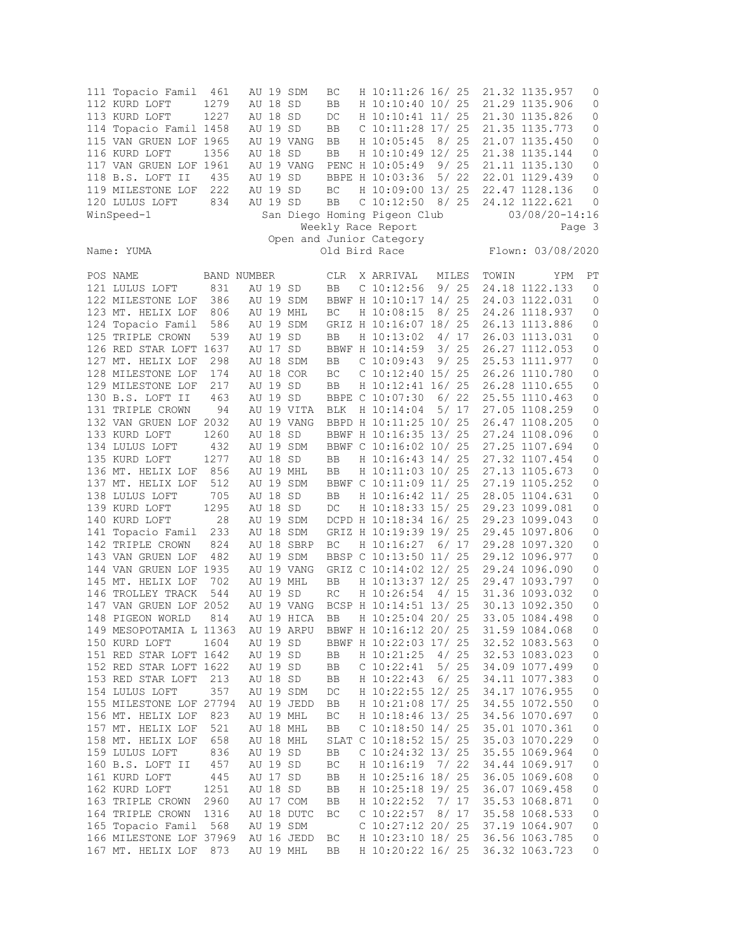| 111 Topacio Famil 461<br>112 KURD LOFT<br>113 KURD LOFT<br>114 Topacio Famil 1458<br>115 VAN GRUEN LOF 1965<br>116 KURD LOFT<br>117 VAN GRUEN LOF 1961 | 1279<br>1227<br>1356 | AU 18 SD<br>AU 18 SD<br>AU 19 SD<br>AU 18 SD | AU 19 SDM<br>AU 19 VANG<br>AU 19 VANG | BC<br>BB<br>DC<br>BB<br>BB<br>BB | H 10:11:26 16/ 25<br>H 10:10:40 10/ 25<br>H 10:10:41 11/ 25<br>$C$ 10:11:28 17/ 25<br>H 10:05:45 8/ 25<br>H 10:10:49 12/ 25<br>PENC H 10:05:49 9/ 25 |       |       | 21.32 1135.957<br>21.29 1135.906<br>21.30 1135.826<br>21.35 1135.773<br>21.07 1135.450<br>21.38 1135.144<br>21.11 1135.130 | 0<br>0<br>0<br>0<br>0<br>0<br>0 |
|--------------------------------------------------------------------------------------------------------------------------------------------------------|----------------------|----------------------------------------------|---------------------------------------|----------------------------------|------------------------------------------------------------------------------------------------------------------------------------------------------|-------|-------|----------------------------------------------------------------------------------------------------------------------------|---------------------------------|
| 118 B.S. LOFT II<br>119 MILESTONE LOF                                                                                                                  | 435<br>222           | AU 19 SD<br>AU 19 SD                         |                                       | BC                               | BBPE H 10:03:36<br>H 10:09:00 13/ 25                                                                                                                 |       | 5/22  | 22.01 1129.439<br>22.47 1128.136                                                                                           | 0<br>0                          |
| 120 LULUS LOFT                                                                                                                                         | 834                  | AU 19 SD                                     |                                       | BB                               | $C$ 10:12:50 8/25                                                                                                                                    |       |       | 24.12 1122.621                                                                                                             | 0                               |
| WinSpeed-1                                                                                                                                             |                      |                                              |                                       |                                  | San Diego Homing Pigeon Club                                                                                                                         |       |       | $03/08/20 - 14:16$                                                                                                         |                                 |
|                                                                                                                                                        |                      |                                              |                                       |                                  | Weekly Race Report                                                                                                                                   |       |       | Page 3                                                                                                                     |                                 |
| Name: YUMA                                                                                                                                             |                      |                                              |                                       |                                  | Open and Junior Category<br>Old Bird Race                                                                                                            |       |       | Flown: 03/08/2020                                                                                                          |                                 |
| POS NAME<br>BAND NUMBER                                                                                                                                |                      |                                              |                                       | CLR                              | X ARRIVAL                                                                                                                                            |       | MILES | TOWIN<br>YPM                                                                                                               | PТ                              |
| 121 LULUS LOFT                                                                                                                                         | 831                  | AU 19 SD                                     |                                       | BB                               | $C$ 10:12:56                                                                                                                                         |       |       | 9/ 25 24.18 1122.133                                                                                                       | 0                               |
| 122 MILESTONE LOF 386                                                                                                                                  |                      |                                              | AU 19 SDM                             |                                  | BBWF H 10:10:17 14/ 25                                                                                                                               |       |       | 24.03 1122.031                                                                                                             | $\circ$                         |
| 123 MT. HELIX LOF                                                                                                                                      | 806                  |                                              | AU 19 MHL                             | BC                               | H 10:08:15                                                                                                                                           | 8/ 25 |       | 24.26 1118.937                                                                                                             | 0                               |
| 124 Topacio Famil                                                                                                                                      | 586                  |                                              | AU 19 SDM                             |                                  |                                                                                                                                                      |       |       | GRIZ H 10:16:07 18/ 25 26.13 1113.886                                                                                      | 0                               |
| 125 TRIPLE CROWN                                                                                                                                       | 539                  | AU 19 SD                                     |                                       | BB                               | H 10:13:02                                                                                                                                           | 4/17  |       | 26.03 1113.031                                                                                                             | 0                               |
| 126 RED STAR LOFT 1637                                                                                                                                 |                      | AU 17 SD                                     | AU 18 SDM                             |                                  | BBWF H 10:14:59 3/ 25                                                                                                                                |       |       | 26.27 1112.053<br>25.53 1111.977                                                                                           | 0                               |
| 127 MT. HELIX LOF<br>128 MILESTONE LOF                                                                                                                 | 298<br>174           |                                              | AU 18 COR                             | BB<br>BC                         | $C$ 10:09:43<br>$C$ 10:12:40 15/ 25                                                                                                                  |       | 9/25  | 26.26 1110.780                                                                                                             | 0<br>0                          |
| 129 MILESTONE LOF                                                                                                                                      | 217                  | AU 19 SD                                     |                                       | BB                               | H 10:12:41 16/ 25                                                                                                                                    |       |       | 26.28 1110.655                                                                                                             | 0                               |
| 130 B.S. LOFT II                                                                                                                                       | 463                  | AU 19 SD                                     |                                       |                                  | BBPE C 10:07:30                                                                                                                                      |       | 6/22  | 25.55 1110.463                                                                                                             | 0                               |
| 131 TRIPLE CROWN                                                                                                                                       | 94                   |                                              | AU 19 VITA                            | BLK                              | H 10:14:04                                                                                                                                           |       | 5/ 17 | 27.05 1108.259                                                                                                             | 0                               |
| 132 VAN GRUEN LOF 2032                                                                                                                                 |                      |                                              | AU 19 VANG                            |                                  | BBPD H 10:11:25 10/ 25                                                                                                                               |       |       | 26.47 1108.205                                                                                                             | 0                               |
| 133 KURD LOFT                                                                                                                                          | 1260                 | AU 18 SD                                     |                                       |                                  | BBWF H 10:16:35 13/ 25                                                                                                                               |       |       | 27.24 1108.096                                                                                                             | 0                               |
| 134 LULUS LOFT                                                                                                                                         | 432                  |                                              | AU 19 SDM                             |                                  | BBWF C 10:16:02 10/ 25                                                                                                                               |       |       | 27.25 1107.694                                                                                                             | 0                               |
| 135 KURD LOFT                                                                                                                                          | 1277                 | AU 18 SD                                     |                                       | BB                               | H 10:16:43 14/ 25                                                                                                                                    |       |       | 27.32 1107.454                                                                                                             | 0                               |
| 136 MT. HELIX LOF                                                                                                                                      | 856                  |                                              | AU 19 MHL                             | BB                               | H 10:11:03 10/ 25                                                                                                                                    |       |       | 27.13 1105.673                                                                                                             | 0                               |
| 137 MT. HELIX LOF                                                                                                                                      | 512                  |                                              | AU 19 SDM                             |                                  | BBWF C 10:11:09 11/ 25                                                                                                                               |       |       | 27.19 1105.252                                                                                                             | 0                               |
| 138 LULUS LOFT                                                                                                                                         | 705                  | AU 18 SD                                     |                                       | BB                               | H 10:16:42 11/ 25                                                                                                                                    |       |       | 28.05 1104.631                                                                                                             | 0                               |
| 139 KURD LOFT                                                                                                                                          | 1295                 | AU 18 SD                                     |                                       | DC                               | H 10:18:33 15/ 25                                                                                                                                    |       |       | 29.23 1099.081                                                                                                             | 0                               |
| 140 KURD LOFT                                                                                                                                          | 28                   |                                              | AU 19 SDM                             |                                  | DCPD H 10:18:34 16/ 25                                                                                                                               |       |       | 29.23 1099.043                                                                                                             | 0                               |
| 141 Topacio Famil 233                                                                                                                                  |                      |                                              | AU 18 SDM                             |                                  | GRIZ H 10:19:39 19/ 25                                                                                                                               |       |       | 29.45 1097.806                                                                                                             | 0                               |
| 142 TRIPLE CROWN                                                                                                                                       | 824                  |                                              | AU 18 SBRP                            | BC                               | H 10:16:27 6/ 17                                                                                                                                     |       |       | 29.28 1097.320                                                                                                             | $\circ$                         |
| 143 VAN GRUEN LOF                                                                                                                                      | 482                  |                                              | AU 19 SDM                             |                                  | BBSP C 10:13:50 11/ 25<br>GRIZ C 10:14:02 12/ 25                                                                                                     |       |       | 29.12 1096.977                                                                                                             | 0                               |
| 144 VAN GRUEN LOF 1935<br>145 MT. HELIX LOF                                                                                                            | 702                  |                                              | AU 19 VANG<br>AU 19 MHL               | BB                               | H 10:13:37 12/ 25                                                                                                                                    |       |       | 29.24 1096.090<br>29.47 1093.797                                                                                           | 0<br>0                          |
| 146 TROLLEY TRACK                                                                                                                                      | 544                  | AU 19 SD                                     |                                       | RC                               | H 10:26:54 4/ 15                                                                                                                                     |       |       | 31.36 1093.032                                                                                                             | 0                               |
| 147 VAN GRUEN LOF 2052                                                                                                                                 |                      |                                              | AU 19 VANG                            |                                  | BCSP H 10:14:51 13/ 25                                                                                                                               |       |       | 30.13 1092.350                                                                                                             | 0                               |
| 148 PIGEON WORLD                                                                                                                                       | 814                  |                                              | AU 19 HICA                            | <b>BB</b>                        | H 10:25:04 20/ 25                                                                                                                                    |       |       | 33.05 1084.498                                                                                                             | $\Omega$                        |
| 149 MESOPOTAMIA L 11363                                                                                                                                |                      |                                              | AU 19 ARPU                            |                                  | BBWF H 10:16:12 20/ 25                                                                                                                               |       |       | 31.59 1084.068                                                                                                             | 0                               |
| 150 KURD LOFT                                                                                                                                          | 1604                 | AU 19 SD                                     |                                       |                                  | BBWF H 10:22:03 17/ 25                                                                                                                               |       |       | 32.52 1083.563                                                                                                             | 0                               |
| 151 RED STAR LOFT 1642                                                                                                                                 |                      | AU 19 SD                                     |                                       | BB                               | H 10:21:25                                                                                                                                           |       | 4/25  | 32.53 1083.023                                                                                                             | 0                               |
| 152 RED STAR LOFT 1622                                                                                                                                 |                      | AU 19 SD                                     |                                       | BB                               | C 10:22:41                                                                                                                                           |       | 5/25  | 34.09 1077.499                                                                                                             | 0                               |
| 153 RED STAR LOFT                                                                                                                                      | 213                  | AU 18 SD                                     |                                       | BB                               | H 10:22:43                                                                                                                                           |       | 6/25  | 34.11 1077.383                                                                                                             | 0                               |
| 154 LULUS LOFT                                                                                                                                         | 357                  |                                              | AU 19 SDM                             | DC                               | H 10:22:55 12/ 25                                                                                                                                    |       |       | 34.17 1076.955                                                                                                             | 0                               |
| 155 MILESTONE LOF 27794                                                                                                                                |                      |                                              | AU 19 JEDD                            | BB                               | H 10:21:08 17/ 25                                                                                                                                    |       |       | 34.55 1072.550                                                                                                             | 0                               |
| 156 MT. HELIX LOF                                                                                                                                      | 823                  |                                              | AU 19 MHL                             | ВC                               | H 10:18:46 13/ 25                                                                                                                                    |       |       | 34.56 1070.697                                                                                                             | 0                               |
| 157 MT. HELIX LOF                                                                                                                                      | 521                  |                                              | AU 18 MHL                             | BB                               | C $10:18:50$ $14/25$                                                                                                                                 |       |       | 35.01 1070.361                                                                                                             | 0                               |
| 158 MT. HELIX LOF                                                                                                                                      | 658                  |                                              | AU 18 MHL                             |                                  | SLAT C 10:18:52 15/ 25                                                                                                                               |       |       | 35.03 1070.229                                                                                                             | 0                               |
| 159 LULUS LOFT                                                                                                                                         | 836                  | AU 19 SD                                     |                                       | BB                               | C $10:24:32$ 13/25                                                                                                                                   |       |       | 35.55 1069.964                                                                                                             | 0                               |
| 160 B.S. LOFT II<br>161 KURD LOFT                                                                                                                      | 457                  | AU 19 SD                                     |                                       | BC                               | H 10:16:19                                                                                                                                           |       | 7/22  | 34.44 1069.917                                                                                                             | 0                               |
| 162 KURD LOFT                                                                                                                                          | 445<br>1251          | AU 17 SD<br>AU 18 SD                         |                                       | BB<br>BB                         | H 10:25:16 18/ 25<br>H 10:25:18 19/ 25                                                                                                               |       |       | 36.05 1069.608<br>36.07 1069.458                                                                                           | 0<br>0                          |
| 163 TRIPLE CROWN                                                                                                                                       | 2960                 |                                              | AU 17 COM                             | BB                               | H 10:22:52                                                                                                                                           | 7/ 17 |       | 35.53 1068.871                                                                                                             | 0                               |
| 164 TRIPLE CROWN                                                                                                                                       | 1316                 |                                              | AU 18 DUTC                            | BC                               | $C$ 10:22:57                                                                                                                                         |       | 8/17  | 35.58 1068.533                                                                                                             | 0                               |
| 165 Topacio Famil                                                                                                                                      | 568                  |                                              | AU 19 SDM                             |                                  | C $10:27:12$ 20/ 25                                                                                                                                  |       |       | 37.19 1064.907                                                                                                             | 0                               |
| 166 MILESTONE LOF 37969                                                                                                                                |                      |                                              | AU 16 JEDD                            | ВC                               | H 10:23:10 18/ 25                                                                                                                                    |       |       | 36.56 1063.785                                                                                                             | 0                               |
| 167 MT. HELIX LOF                                                                                                                                      | 873                  |                                              | AU 19 MHL                             | BB                               | H 10:20:22 16/ 25                                                                                                                                    |       |       | 36.32 1063.723                                                                                                             | 0                               |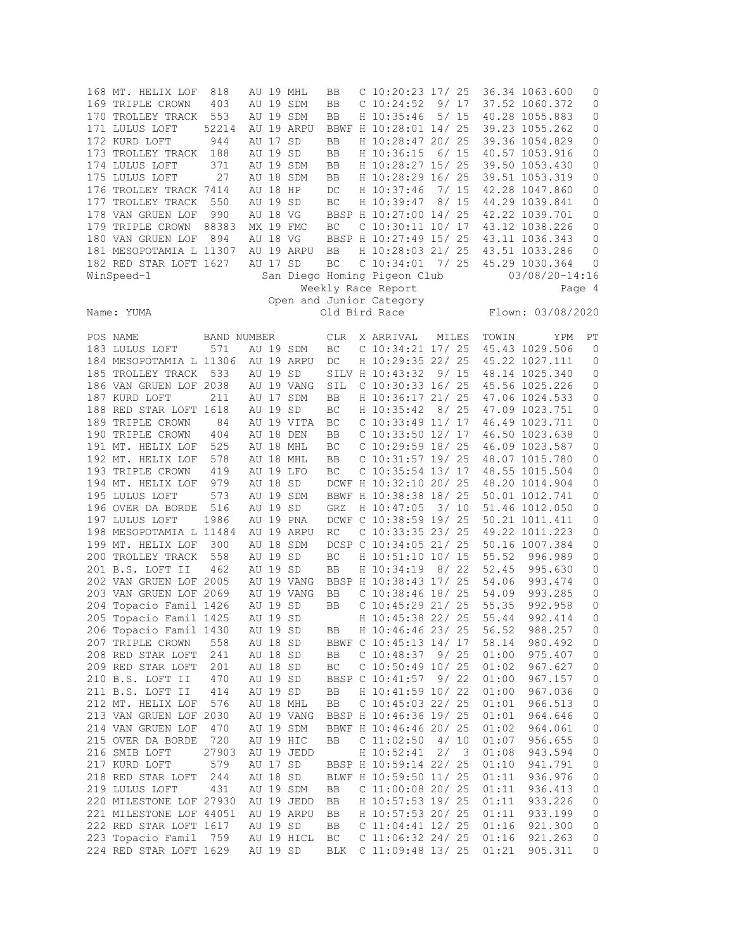|                                                                              | 168 MT. HELIX LOF<br>169 TRIPLE CROWN<br>170 TROLLEY TRACK<br>171 LULUS LOFT<br>172 KURD LOFT<br>173 TROLLEY TRACK<br>174 LULUS LOFT<br>175 LULUS LOFT<br>176 TROLLEY TRACK 7414<br>177 TROLLEY TRACK<br>178 VAN GRUEN LOF<br>179 TRIPLE CROWN<br>180 VAN GRUEN LOF<br>181 MESOPOTAMIA L 11307<br>182 RED STAR LOFT 1627<br>WinSpeed-1 | 818<br>403<br>553<br>52214<br>944<br>188<br>371<br>27<br>550<br>990<br>88383<br>894 | AU 17 SD<br>AU 19 SD<br>AU 18 HP<br>AU 19 SD<br>AU 18 VG<br>AU 18 VG<br>AU 17 SD |  | AU 19 MHL<br>AU 19 SDM<br>AU 19 SDM<br>AU 19 ARPU<br>AU 19 SDM<br>AU 18 SDM<br>MX 19 FMC<br>AU 19 ARPU | BB<br>BB<br>BB<br>BB<br>BB<br>BB<br>BB<br>DC<br>$\operatorname{BC}$<br>ВC<br>BB<br>BC |  | C $10:20:23$ 17/ 25<br>$C$ 10:24:52<br>H 10:35:46<br>BBWF H 10:28:01 14/ 25<br>H 10:28:47 20/ 25<br>H 10:36:15<br>H 10:28:27 15/ 25<br>H 10:28:29 16/ 25<br>H 10:37:46<br>H 10:39:47<br>BBSP H 10:27:00 14/ 25<br>$C$ 10:30:11 10/ 17<br>BBSP H 10:27:49 15/ 25<br>H 10:28:03 21/ 25<br>$C$ 10:34:01 7/ 25<br>San Diego Homing Pigeon Club<br>Weekly Race Report |      | 9/17<br>5/15<br>6/15<br>7/15<br>8/15 |                                                    | 36.34 1063.600<br>37.52 1060.372<br>40.28 1055.883<br>39.23 1055.262<br>39.36 1054.829<br>40.57 1053.916<br>39.50 1053.430<br>39.51 1053.319<br>42.28 1047.860<br>44.29 1039.841<br>42.22 1039.701<br>43.12 1038.226<br>43.11 1036.343<br>43.51 1033.286<br>45.29 1030.364<br>$03/08/20 - 14:16$ | 0<br>0<br>0<br>0<br>0<br>0<br>0<br>0<br>0<br>0<br>0<br>0<br>0<br>0<br>0<br>Page 4 |
|------------------------------------------------------------------------------|----------------------------------------------------------------------------------------------------------------------------------------------------------------------------------------------------------------------------------------------------------------------------------------------------------------------------------------|-------------------------------------------------------------------------------------|----------------------------------------------------------------------------------|--|--------------------------------------------------------------------------------------------------------|---------------------------------------------------------------------------------------|--|------------------------------------------------------------------------------------------------------------------------------------------------------------------------------------------------------------------------------------------------------------------------------------------------------------------------------------------------------------------|------|--------------------------------------|----------------------------------------------------|--------------------------------------------------------------------------------------------------------------------------------------------------------------------------------------------------------------------------------------------------------------------------------------------------|-----------------------------------------------------------------------------------|
| Open and Junior Category<br>Old Bird Race<br>Flown: 03/08/2020<br>Name: YUMA |                                                                                                                                                                                                                                                                                                                                        |                                                                                     |                                                                                  |  |                                                                                                        |                                                                                       |  |                                                                                                                                                                                                                                                                                                                                                                  |      |                                      |                                                    |                                                                                                                                                                                                                                                                                                  |                                                                                   |
| POS NAME                                                                     | 183 LULUS LOFT<br>184 MESOPOTAMIA L 11306<br>185 TROLLEY TRACK<br>186 VAN GRUEN LOF 2038<br>187 KURD LOFT                                                                                                                                                                                                                              | BAND NUMBER<br>571<br>533<br>211                                                    | AU 19 SD                                                                         |  | AU 19 SDM<br>AU 19 ARPU<br>AU 19 VANG<br>AU 17 SDM                                                     | <b>CLR</b><br>BC<br>DC<br>SIL<br>BB                                                   |  | X ARRIVAL<br>$C$ 10:34:21 17/ 25<br>H 10:29:35 22/ 25<br>SILV H 10:43:32<br>$C$ 10:30:33 16/ 25<br>H 10:36:17 21/ 25                                                                                                                                                                                                                                             |      | MILES<br>9/15                        | TOWIN                                              | YPM<br>45.43 1029.506<br>45.22 1027.111<br>48.14 1025.340<br>45.56 1025.226<br>47.06 1024.533                                                                                                                                                                                                    | РT<br>0<br>0<br>0<br>0<br>0                                                       |
|                                                                              | 188 RED STAR LOFT 1618<br>189 TRIPLE CROWN<br>190 TRIPLE CROWN<br>191 MT. HELIX LOF<br>192 MT. HELIX LOF                                                                                                                                                                                                                               | 84<br>404<br>525<br>578                                                             | AU 19 SD                                                                         |  | AU 19 VITA<br>AU 18 DEN<br>AU 18 MHL<br>AU 18 MHL                                                      | ВC<br>ВC<br>BB<br>ВC<br>BB                                                            |  | H 10:35:42<br>$C$ 10:33:49 11/ 17<br>C $10:33:50$ $12/17$<br>$C$ 10:29:59 18/25<br>$C$ 10:31:57 19/ 25                                                                                                                                                                                                                                                           |      | 8/25                                 |                                                    | 47.09 1023.751<br>46.49 1023.711<br>46.50 1023.638<br>46.09 1023.587<br>48.07 1015.780                                                                                                                                                                                                           | 0<br>0<br>0<br>0<br>0                                                             |
|                                                                              | 193 TRIPLE CROWN<br>194 MT. HELIX LOF<br>195 LULUS LOFT<br>196 OVER DA BORDE<br>197 LULUS LOFT<br>198 MESOPOTAMIA L 11484                                                                                                                                                                                                              | 419<br>979<br>573<br>516<br>1986                                                    | AU 18 SD<br>AU 19 SD                                                             |  | AU 19 LFO<br>AU 19 SDM<br>AU 19 PNA<br>AU 19 ARPU                                                      | ВC<br>GRZ<br>RC                                                                       |  | $C$ 10:35:54 13/ 17<br>DCWF H 10:32:10 20/ 25<br>BBWF H 10:38:38 18/ 25<br>H 10:47:05<br>DCWF C 10:38:59 19/ 25<br>$C$ 10:33:35 23/ 25                                                                                                                                                                                                                           | 3/10 |                                      |                                                    | 48.55 1015.504<br>48.20 1014.904<br>50.01 1012.741<br>51.46 1012.050<br>50.21 1011.411<br>49.22 1011.223                                                                                                                                                                                         | 0<br>0<br>0<br>0<br>0<br>0                                                        |
|                                                                              | 199 MT. HELIX LOF<br>200 TROLLEY TRACK<br>201 B.S. LOFT II<br>202 VAN GRUEN LOF 2005<br>203 VAN GRUEN LOF 2069<br>204 Topacio Famil 1426                                                                                                                                                                                               | 300<br>558<br>462                                                                   | AU 19 SD<br>AU 19 SD<br>AU 19 SD                                                 |  | AU 18 SDM<br>AU 19 VANG<br>AU 19 VANG                                                                  | BC<br>BB<br>BB<br>BB                                                                  |  | DCSP C 10:34:05 21/ 25<br>H 10:51:10 10/ 15<br>H 10:34:19<br>BBSP H 10:38:43 17/ 25<br>$C$ 10:38:46 18/25<br>C $10:45:29$ 21/25                                                                                                                                                                                                                                  |      | 8/22                                 | 55.52<br>52.45<br>54.06<br>54.09<br>55.35          | 50.16 1007.384<br>996.989<br>995.630<br>993.474<br>993.285<br>992.958                                                                                                                                                                                                                            | 0<br>0<br>0<br>0<br>0<br>0                                                        |
|                                                                              | 205 Topacio Famil 1425<br>206 Topacio Famil 1430<br>207 TRIPLE CROWN<br>208 RED STAR LOFT<br>209 RED STAR LOFT                                                                                                                                                                                                                         | 558<br>241<br>201                                                                   | AU 19 SD<br>AU 19 SD<br>AU 18 SD<br>AU 18 SD<br>AU 18 SD                         |  |                                                                                                        | BB<br>BB<br>ВC                                                                        |  | H 10:45:38 22/ 25<br>H 10:46:46 23/ 25<br>BBWF C 10:45:13 14/ 17<br>$C$ 10:48:37 9/25<br>C 10:50:49 10/ 25                                                                                                                                                                                                                                                       |      |                                      | 55.44<br>56.52<br>58.14<br>01:00<br>01:02          | 992.414<br>988.257<br>980.492<br>975.407<br>967.627                                                                                                                                                                                                                                              | $\Omega$<br>0<br>0<br>0<br>0                                                      |
|                                                                              | 210 B.S. LOFT II<br>211 B.S. LOFT II<br>212 MT. HELIX LOF<br>213 VAN GRUEN LOF 2030<br>214 VAN GRUEN LOF<br>215 OVER DA BORDE                                                                                                                                                                                                          | 470<br>414<br>576<br>470<br>720                                                     | AU 19 SD<br>AU 19 SD                                                             |  | AU 18 MHL<br>AU 19 VANG<br>AU 19 SDM<br>AU 19 HIC                                                      | BB<br>BB<br>BB                                                                        |  | BBSP C 10:41:57<br>H 10:41:59 10/ 22<br>C 10:45:03 22/ 25<br>BBSP H 10:46:36 19/ 25<br>BBWF H 10:46:46 20/ 25<br>$C$ 11:02:50                                                                                                                                                                                                                                    |      | 9/22<br>4/10                         | 01:00<br>01:00<br>01:01<br>01:01<br>01:02<br>01:07 | 967.157<br>967.036<br>966.513<br>964.646<br>964.061<br>956.655                                                                                                                                                                                                                                   | 0<br>0<br>0<br>0<br>0<br>0                                                        |
|                                                                              | 216 SMIB LOFT<br>217 KURD LOFT<br>218 RED STAR LOFT<br>219 LULUS LOFT<br>220 MILESTONE LOF 27930                                                                                                                                                                                                                                       | 27903<br>579<br>244<br>431                                                          | AU 17 SD<br>AU 18 SD                                                             |  | AU 19 JEDD<br>AU 19 SDM<br>AU 19 JEDD                                                                  | BB<br>BB                                                                              |  | H 10:52:41<br>BBSP H 10:59:14 22/ 25<br>BLWF H 10:59:50 11/ 25<br>C $11:00:08$ 20/ 25<br>H 10:57:53 19/ 25                                                                                                                                                                                                                                                       | 2/   | $\overline{\mathbf{3}}$              | 01:08<br>01:10<br>01:11<br>01:11<br>01:11          | 943.594<br>941.791<br>936.976<br>936.413<br>933.226                                                                                                                                                                                                                                              | 0<br>0<br>0<br>0<br>0                                                             |
|                                                                              | 221 MILESTONE LOF 44051<br>222 RED STAR LOFT 1617<br>223 Topacio Famil 759<br>224 RED STAR LOFT 1629                                                                                                                                                                                                                                   |                                                                                     | AU 19 SD<br>AU 19 SD                                                             |  | AU 19 ARPU<br>AU 19 HICL                                                                               | BB<br>BB<br>ВC<br>BLK                                                                 |  | H 10:57:53 20/ 25<br>$C$ 11:04:41 12/ 25<br>C 11:06:32 24/ 25<br>C $11:09:48$ 13/ 25                                                                                                                                                                                                                                                                             |      |                                      | 01:11<br>01:16<br>01:16<br>01:21                   | 933.199<br>921.300<br>921.263<br>905.311                                                                                                                                                                                                                                                         | 0<br>0<br>0<br>0                                                                  |